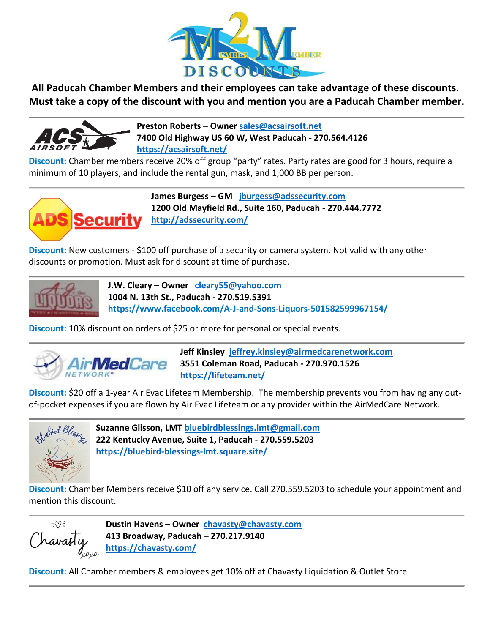

**All Paducah Chamber Members and their employees can take advantage of these discounts. Must take a copy of the discount with you and mention you are a Paducah Chamber member.** 



**Preston Roberts – Owner [sales@acsairsoft.net](mailto:sales@acsairsoft.net) 7400 Old Highway US 60 W, West Paducah - 270.564.4126 <https://acsairsoft.net/>**

**Discount:** Chamber members receive 20% off group "party" rates. Party rates are good for 3 hours, require a minimum of 10 players, and include the rental gun, mask, and 1,000 BB per person.



**James Burgess – GM [jburgess@adssecurity.com](mailto:jburgess@adssecurity.com) 1200 Old Mayfield Rd., Suite 160, Paducah - 270.444.7772 <http://adssecurity.com/>**

**Discount:** New customers - \$100 off purchase of a security or camera system. Not valid with any other discounts or promotion. Must ask for discount at time of purchase.



**J.W. Cleary – Owner [cleary55@yahoo.com](mailto:cleary55@yahoo.com) 1004 N. 13th St., Paducah - 270.519.5391 https://www.facebook.com/A-J-and-Sons-Liquors-501582599967154/**

**Discount:** 10% discount on orders of \$25 or more for personal or special events.



 **Jeff Kinsley [jeffrey.kinsley@airmedcarenetwork.com](mailto:jeffrey.kinsley@airmedcarenetwork.com) 3551 Coleman Road, Paducah - 270.970.1526 <https://lifeteam.net/>**

**Discount:** \$20 off a 1-year Air Evac Lifeteam Membership. The membership prevents you from having any outof-pocket expenses if you are flown by Air Evac Lifeteam or any provider within the AirMedCare Network.



**Suzanne Glisson, LMT [bluebirdblessings.lmt@gmail.com](mailto:bluebirdblessings.lmt@gmail.com) 222 Kentucky Avenue, Suite 1, Paducah - 270.559.5203 <https://bluebird-blessings-lmt.square.site/>**

**Discount:** Chamber Members receive \$10 off any service. Call 270.559.5203 to schedule your appointment and mention this discount.

ΞŴΞ Travasti

**Dustin Havens – Owner [chavasty@chavasty.com](mailto:chavasty@chavasty.com) 413 Broadway, Paducah – 270.217.9140 <https://chavasty.com/>**

**Discount:** All Chamber members & employees get 10% off at Chavasty Liquidation & Outlet Store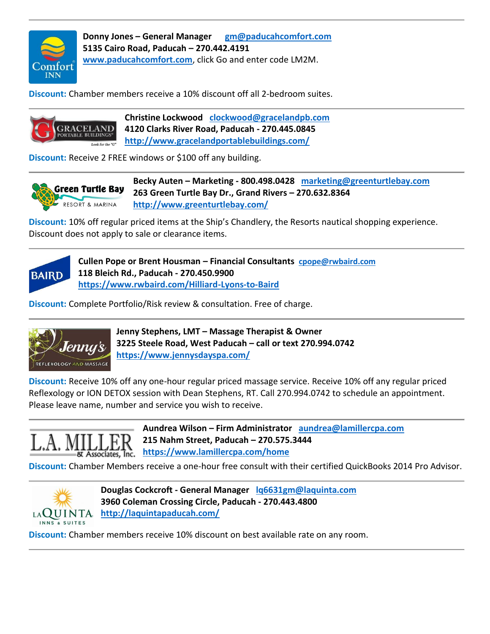

**Donny Jones – General Manager [gm@paducahcomfort.com](mailto:gm@paducahcomfort.com) 5135 Cairo Road, Paducah – 270.442.4191 [www.paducahcomfort.com](http://www.paducahcomfort.com/)**, click Go and enter code LM2M.

**Discount:** Chamber members receive a 10% discount off all 2-bedroom suites.



**Christine Lockwood [clockwood@gracelandpb.com](mailto:clockwood@gracelandpb.com) 4120 Clarks River Road, Paducah - 270.445.0845 <http://www.gracelandportablebuildings.com/>**

**Discount:** Receive 2 FREE windows or \$100 off any building.



**Becky Auten – Marketing - 800.498.0428 [marketing@greenturtlebay.com](mailto:marketing@greenturtlebay.com) 263 Green Turtle Bay Dr., Grand Rivers – 270.632.8364 <http://www.greenturtlebay.com/>**

**Discount:** 10% off regular priced items at the Ship's Chandlery, the Resorts nautical shopping experience. Discount does not apply to sale or clearance items.



**Cullen Pope or Brent Housman – Financial Consultants [cpope@rwbaird.com](mailto:cpope@rwbaird.com) 118 Bleich Rd., Paducah - 270.450.9900 <https://www.rwbaird.com/Hilliard-Lyons-to-Baird>**

**Discount:** Complete Portfolio/Risk review & consultation. Free of charge.



**Jenny Stephens, LMT – Massage Therapist & Owner 3225 Steele Road, West Paducah – call or text 270.994.0742 <https://www.jennysdayspa.com/>**

**Discount:** Receive 10% off any one-hour regular priced massage service. Receive 10% off any regular priced Reflexology or ION DETOX session with Dean Stephens, RT. Call 270.994.0742 to schedule an appointment. Please leave name, number and service you wish to receive.



**Aundrea Wilson – Firm Administrator [aundrea@lamillercpa.com](mailto:aundrea@lamillercpa.com) 215 Nahm Street, Paducah – 270.575.3444 <https://www.lamillercpa.com/home>**

**Discount:** Chamber Members receive a one-hour free consult with their certified QuickBooks 2014 Pro Advisor.



**Douglas Cockcroft - General Manager [lq6631gm@laquinta.com](mailto:lq6631gm@laquinta.com) 3960 Coleman Crossing Circle, Paducah - 270.443.4800 <http://laquintapaducah.com/>**

**Discount:** Chamber members receive 10% discount on best available rate on any room.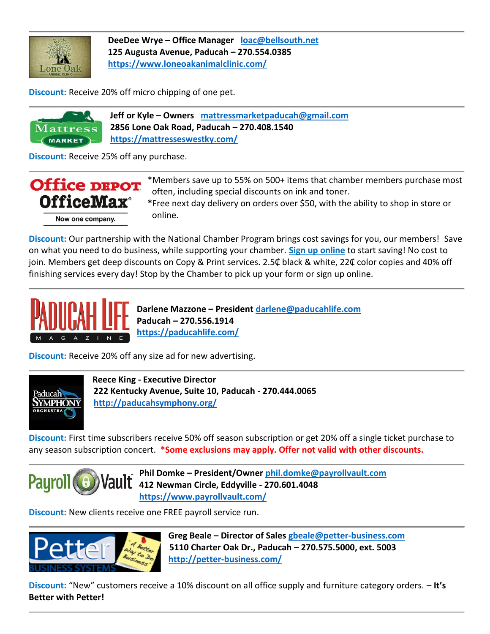

**DeeDee Wrye – Office Manager [loac@bellsouth.net](mailto:loac@bellsouth.net) 125 Augusta Avenue, Paducah – 270.554.0385 <https://www.loneoakanimalclinic.com/>**

**Discount:** Receive 20% off micro chipping of one pet.

 **Jeff or Kyle – Owners [mattressmarketpaducah@gmail.com](mailto:mattressmarketpaducah@gmail.com) 2856 Lone Oak Road, Paducah – 270.408.1540** Mattres **<https://mattresseswestky.com/> MARKET** 

**Discount:** Receive 25% off any purchase.



**Discount:** Our partnership with the National Chamber Program brings cost savings for you, our members! Save on what you need to do business, while supporting your chamber. **[Sign up online](https://community.officedepot.com/GPOHome?id=75049244)** to start saving! No cost to join. Members get deep discounts on Copy & Print services. 2.5₵ black & white, 22₵ color copies and 40% off finishing services every day! Stop by the Chamber to pick up your form or sign up online.



**Darlene Mazzone – President [darlene@paducahlife.com](mailto:darlene@paducahlife.com) Paducah – 270.556.1914 <https://paducahlife.com/>**

**Discount:** Receive 20% off any size ad for new advertising.



 **Reece King - Executive Director 222 Kentucky Avenue, Suite 10, Paducah - 270.444.0065 <http://paducahsymphony.org/>**

**Discount:** First time subscribers receive 50% off season subscription or get 20% off a single ticket purchase to any season subscription concert. **\*Some exclusions may apply. Offer not valid with other discounts.**



**Phil Domke – President/Owner [phil.domke@payrollvault.com](mailto:phil.domke@payrollvault.com)** Payroll **412 Newman Circle, Eddyville - 270.601.4048 <https://www.payrollvault.com/>**

**Discount:** New clients receive one FREE payroll service run.



 **Greg Beale – Director of Sales [gbeale@petter-business.com](mailto:gbeale@petter-business.com) 5110 Charter Oak Dr., Paducah – 270.575.5000, ext. 5003 <http://petter-business.com/>**

**Discount:** "New" customers receive a 10% discount on all office supply and furniture category orders. – **It's Better with Petter!**